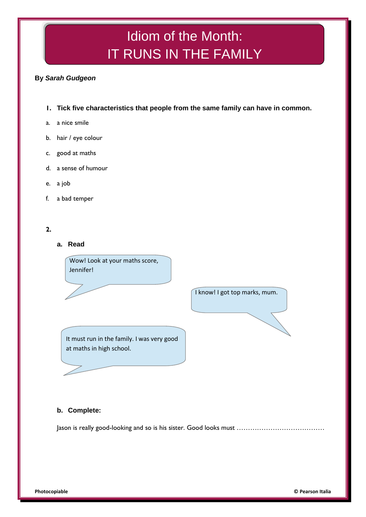# Idiom of the Month: IT RUNS IN THE FAMILY

## **By** *Sarah Gudgeon*

- **1. Tick five characteristics that people from the same family can have in common.**
- a. a nice smile
- b. hair / eye colour
- c. good at maths
- d. a sense of humour
- e. a job
- f. a bad temper

### **2.**

**a. Read**

Wow! Look at your maths score, Jennifer!

It must run in the family. I was very good at maths in high school.

# **b. Complete:**

Jason is really good-looking and so is his sister. Good looks must …………………………………

I know! I got top marks, mum.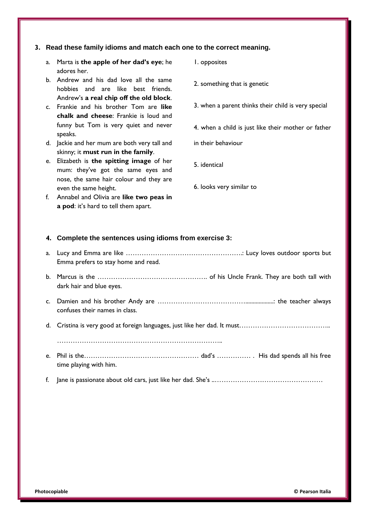#### **3. Read these family idioms and match each one to the correct meaning.**

- a. Marta is **the apple of her dad's eye**; he adores her.
- b. Andrew and his dad love all the same hobbies and are like best friends. Andrew's **a real chip off the old block**.
- c. Frankie and his brother Tom are **like chalk and cheese**: Frankie is loud and funny but Tom is very quiet and never speaks.
- d. Jackie and her mum are both very tall and skinny; it **must run in the family**.
- e. Elizabeth is **the spitting image** of her mum: they've got the same eyes and nose, the same hair colour and they are even the same height.
- f. Annabel and Olivia are **like two peas in a pod**: it's hard to tell them apart.
- 1. opposites
- 2. something that is genetic
- 3. when a parent thinks their child is very special
- 4. when a child is just like their mother or father
- in their behaviour
- 5. identical
- 6. looks very similar to

#### **4. Complete the sentences using idioms from exercise 3:**

- a. Lucy and Emma are like …………………………………………….: Lucy loves outdoor sports but Emma prefers to stay home and read.
- b. Marcus is the …………………………………………. of his Uncle Frank. They are both tall with dark hair and blue eyes.
- c. Damien and his brother Andy are …………………………………...................: the teacher always confuses their names in class.
- d. Cristina is very good at foreign languages, just like her dad. It must…………………………………..

………………………………………………………………..

- e. Phil is the…………………………………………… dad's …………… . His dad spends all his free time playing with him.
- f. Jane is passionate about old cars, just like her dad. She's ..…………………………………………